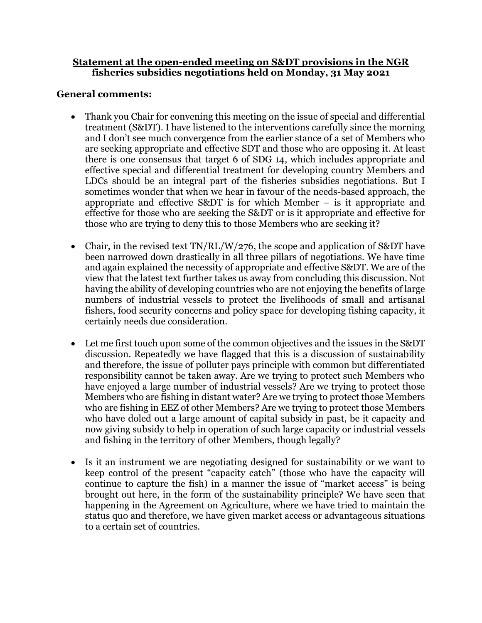## **Statement at the open-ended meeting on S&DT provisions in the NGR fisheries subsidies negotiations held on Monday, 31 May 2021**

## **General comments:**

- Thank you Chair for convening this meeting on the issue of special and differential treatment (S&DT). I have listened to the interventions carefully since the morning and I don't see much convergence from the earlier stance of a set of Members who are seeking appropriate and effective SDT and those who are opposing it. At least there is one consensus that target 6 of SDG 14, which includes appropriate and effective special and differential treatment for developing country Members and LDCs should be an integral part of the fisheries subsidies negotiations. But I sometimes wonder that when we hear in favour of the needs-based approach, the appropriate and effective S&DT is for which Member – is it appropriate and effective for those who are seeking the S&DT or is it appropriate and effective for those who are trying to deny this to those Members who are seeking it?
- Chair, in the revised text  $TN/RL/W/276$ , the scope and application of S&DT have been narrowed down drastically in all three pillars of negotiations. We have time and again explained the necessity of appropriate and effective S&DT. We are of the view that the latest text further takes us away from concluding this discussion. Not having the ability of developing countries who are not enjoying the benefits of large numbers of industrial vessels to protect the livelihoods of small and artisanal fishers, food security concerns and policy space for developing fishing capacity, it certainly needs due consideration.
- Let me first touch upon some of the common objectives and the issues in the S&DT discussion. Repeatedly we have flagged that this is a discussion of sustainability and therefore, the issue of polluter pays principle with common but differentiated responsibility cannot be taken away. Are we trying to protect such Members who have enjoyed a large number of industrial vessels? Are we trying to protect those Members who are fishing in distant water? Are we trying to protect those Members who are fishing in EEZ of other Members? Are we trying to protect those Members who have doled out a large amount of capital subsidy in past, be it capacity and now giving subsidy to help in operation of such large capacity or industrial vessels and fishing in the territory of other Members, though legally?
- Is it an instrument we are negotiating designed for sustainability or we want to keep control of the present "capacity catch" (those who have the capacity will continue to capture the fish) in a manner the issue of "market access" is being brought out here, in the form of the sustainability principle? We have seen that happening in the Agreement on Agriculture, where we have tried to maintain the status quo and therefore, we have given market access or advantageous situations to a certain set of countries.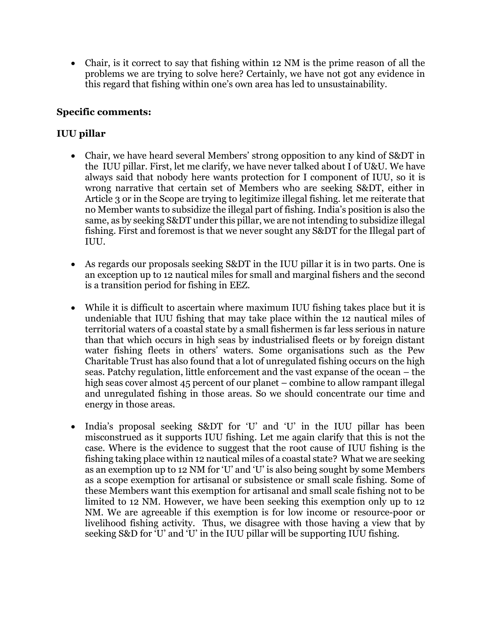• Chair, is it correct to say that fishing within 12 NM is the prime reason of all the problems we are trying to solve here? Certainly, we have not got any evidence in this regard that fishing within one's own area has led to unsustainability.

# **Specific comments:**

# **IUU pillar**

- Chair, we have heard several Members' strong opposition to any kind of S&DT in the IUU pillar. First, let me clarify, we have never talked about I of U&U. We have always said that nobody here wants protection for I component of IUU, so it is wrong narrative that certain set of Members who are seeking S&DT, either in Article 3 or in the Scope are trying to legitimize illegal fishing. let me reiterate that no Member wants to subsidize the illegal part of fishing. India's position is also the same, as by seeking S&DT under this pillar, we are not intending to subsidize illegal fishing. First and foremost is that we never sought any S&DT for the Illegal part of IUU.
- As regards our proposals seeking S&DT in the IUU pillar it is in two parts. One is an exception up to 12 nautical miles for small and marginal fishers and the second is a transition period for fishing in EEZ.
- While it is difficult to ascertain where maximum IUU fishing takes place but it is undeniable that IUU fishing that may take place within the 12 nautical miles of territorial waters of a coastal state by a small fishermen is far less serious in nature than that which occurs in high seas by industrialised fleets or by foreign distant water fishing fleets in others' waters. Some organisations such as the Pew Charitable Trust has also found that a lot of unregulated fishing occurs on the high seas. Patchy regulation, little enforcement and the vast expanse of the ocean – the high seas cover almost 45 percent of our planet – combine to allow rampant illegal and unregulated fishing in those areas. So we should concentrate our time and energy in those areas.
- India's proposal seeking S&DT for 'U' and 'U' in the IUU pillar has been misconstrued as it supports IUU fishing. Let me again clarify that this is not the case. Where is the evidence to suggest that the root cause of IUU fishing is the fishing taking place within 12 nautical miles of a coastal state? What we are seeking as an exemption up to 12 NM for 'U' and 'U' is also being sought by some Members as a scope exemption for artisanal or subsistence or small scale fishing. Some of these Members want this exemption for artisanal and small scale fishing not to be limited to 12 NM. However, we have been seeking this exemption only up to 12 NM. We are agreeable if this exemption is for low income or resource-poor or livelihood fishing activity. Thus, we disagree with those having a view that by seeking S&D for 'U' and 'U' in the IUU pillar will be supporting IUU fishing.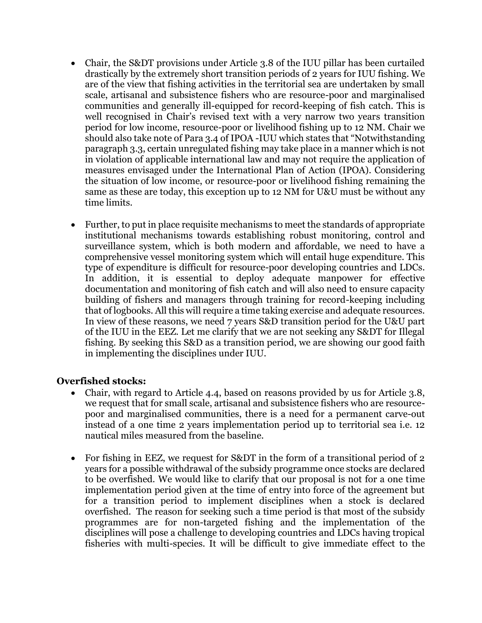- Chair, the S&DT provisions under Article 3.8 of the IUU pillar has been curtailed drastically by the extremely short transition periods of 2 years for IUU fishing. We are of the view that fishing activities in the territorial sea are undertaken by small scale, artisanal and subsistence fishers who are resource-poor and marginalised communities and generally ill-equipped for record-keeping of fish catch. This is well recognised in Chair's revised text with a very narrow two years transition period for low income, resource-poor or livelihood fishing up to 12 NM. Chair we should also take note of Para 3.4 of IPOA -IUU which states that "Notwithstanding paragraph 3.3, certain unregulated fishing may take place in a manner which is not in violation of applicable international law and may not require the application of measures envisaged under the International Plan of Action (IPOA). Considering the situation of low income, or resource-poor or livelihood fishing remaining the same as these are today, this exception up to 12 NM for U&U must be without any time limits.
- Further, to put in place requisite mechanisms to meet the standards of appropriate institutional mechanisms towards establishing robust monitoring, control and surveillance system, which is both modern and affordable, we need to have a comprehensive vessel monitoring system which will entail huge expenditure. This type of expenditure is difficult for resource-poor developing countries and LDCs. In addition, it is essential to deploy adequate manpower for effective documentation and monitoring of fish catch and will also need to ensure capacity building of fishers and managers through training for record-keeping including that of logbooks. All this will require a time taking exercise and adequate resources. In view of these reasons, we need 7 years S&D transition period for the U&U part of the IUU in the EEZ. Let me clarify that we are not seeking any S&DT for Illegal fishing. By seeking this S&D as a transition period, we are showing our good faith in implementing the disciplines under IUU.

# **Overfished stocks:**

- Chair, with regard to Article 4.4, based on reasons provided by us for Article 3.8, we request that for small scale, artisanal and subsistence fishers who are resourcepoor and marginalised communities, there is a need for a permanent carve-out instead of a one time 2 years implementation period up to territorial sea i.e. 12 nautical miles measured from the baseline.
- For fishing in EEZ, we request for S&DT in the form of a transitional period of 2 years for a possible withdrawal of the subsidy programme once stocks are declared to be overfished. We would like to clarify that our proposal is not for a one time implementation period given at the time of entry into force of the agreement but for a transition period to implement disciplines when a stock is declared overfished. The reason for seeking such a time period is that most of the subsidy programmes are for non-targeted fishing and the implementation of the disciplines will pose a challenge to developing countries and LDCs having tropical fisheries with multi-species. It will be difficult to give immediate effect to the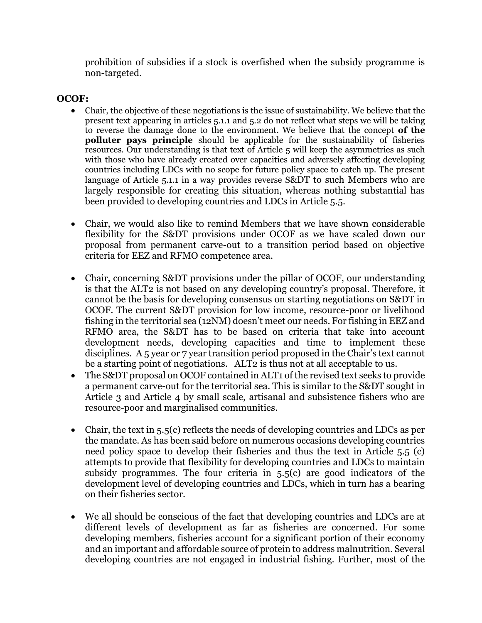prohibition of subsidies if a stock is overfished when the subsidy programme is non-targeted.

## **OCOF:**

- Chair, the objective of these negotiations is the issue of sustainability. We believe that the present text appearing in articles 5.1.1 and 5.2 do not reflect what steps we will be taking to reverse the damage done to the environment. We believe that the concept **of the polluter pays principle** should be applicable for the sustainability of fisheries resources. Our understanding is that text of Article 5 will keep the asymmetries as such with those who have already created over capacities and adversely affecting developing countries including LDCs with no scope for future policy space to catch up. The present language of Article 5.1.1 in a way provides reverse S&DT to such Members who are largely responsible for creating this situation, whereas nothing substantial has been provided to developing countries and LDCs in Article 5.5.
- Chair, we would also like to remind Members that we have shown considerable flexibility for the S&DT provisions under OCOF as we have scaled down our proposal from permanent carve-out to a transition period based on objective criteria for EEZ and RFMO competence area.
- Chair, concerning S&DT provisions under the pillar of OCOF, our understanding is that the ALT2 is not based on any developing country's proposal. Therefore, it cannot be the basis for developing consensus on starting negotiations on S&DT in OCOF. The current S&DT provision for low income, resource-poor or livelihood fishing in the territorial sea (12NM) doesn't meet our needs. For fishing in EEZ and RFMO area, the S&DT has to be based on criteria that take into account development needs, developing capacities and time to implement these disciplines. A 5 year or 7 year transition period proposed in the Chair's text cannot be a starting point of negotiations. ALT2 is thus not at all acceptable to us.
- The S&DT proposal on OCOF contained in ALT1 of the revised text seeks to provide a permanent carve-out for the territorial sea. This is similar to the S&DT sought in Article 3 and Article 4 by small scale, artisanal and subsistence fishers who are resource-poor and marginalised communities.
- Chair, the text in  $5.5(c)$  reflects the needs of developing countries and LDCs as per the mandate. As has been said before on numerous occasions developing countries need policy space to develop their fisheries and thus the text in Article 5.5 (c) attempts to provide that flexibility for developing countries and LDCs to maintain subsidy programmes. The four criteria in  $5.5(c)$  are good indicators of the development level of developing countries and LDCs, which in turn has a bearing on their fisheries sector.
- We all should be conscious of the fact that developing countries and LDCs are at different levels of development as far as fisheries are concerned. For some developing members, fisheries account for a significant portion of their economy and an important and affordable source of protein to address malnutrition. Several developing countries are not engaged in industrial fishing. Further, most of the